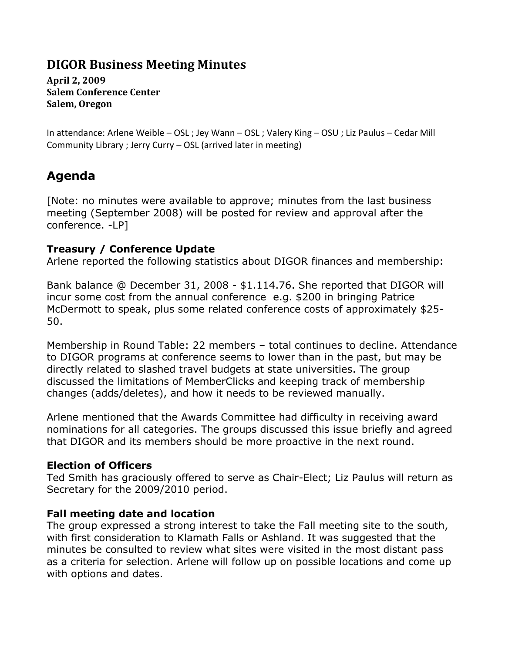# **DIGOR Business Meeting Minutes**

**April 2, 2009 Salem Conference Center Salem, Oregon**

In attendance: Arlene Weible – OSL ; Jey Wann – OSL ; Valery King – OSU ; Liz Paulus – Cedar Mill Community Library ; Jerry Curry – OSL (arrived later in meeting)

# **Agenda**

[Note: no minutes were available to approve; minutes from the last business meeting (September 2008) will be posted for review and approval after the conference. -LP]

### **Treasury / Conference Update**

Arlene reported the following statistics about DIGOR finances and membership:

Bank balance @ December 31, 2008 - \$1.114.76. She reported that DIGOR will incur some cost from the annual conference e.g. \$200 in bringing Patrice McDermott to speak, plus some related conference costs of approximately \$25- 50.

Membership in Round Table: 22 members – total continues to decline. Attendance to DIGOR programs at conference seems to lower than in the past, but may be directly related to slashed travel budgets at state universities. The group discussed the limitations of MemberClicks and keeping track of membership changes (adds/deletes), and how it needs to be reviewed manually.

Arlene mentioned that the Awards Committee had difficulty in receiving award nominations for all categories. The groups discussed this issue briefly and agreed that DIGOR and its members should be more proactive in the next round.

### **Election of Officers**

Ted Smith has graciously offered to serve as Chair-Elect; Liz Paulus will return as Secretary for the 2009/2010 period.

### **Fall meeting date and location**

The group expressed a strong interest to take the Fall meeting site to the south, with first consideration to Klamath Falls or Ashland. It was suggested that the minutes be consulted to review what sites were visited in the most distant pass as a criteria for selection. Arlene will follow up on possible locations and come up with options and dates.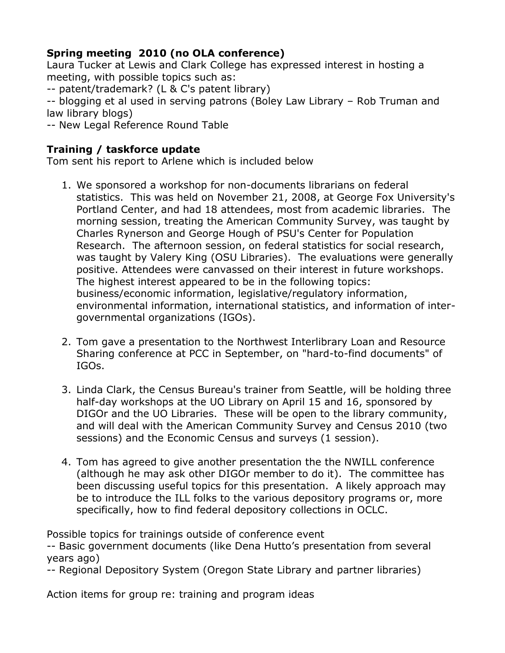## **Spring meeting 2010 (no OLA conference)**

Laura Tucker at Lewis and Clark College has expressed interest in hosting a meeting, with possible topics such as:

-- patent/trademark? (L & C's patent library)

-- blogging et al used in serving patrons (Boley Law Library – Rob Truman and law library blogs)

-- New Legal Reference Round Table

## **Training / taskforce update**

Tom sent his report to Arlene which is included below

- 1. We sponsored a workshop for non-documents librarians on federal statistics. This was held on November 21, 2008, at George Fox University's Portland Center, and had 18 attendees, most from academic libraries. The morning session, treating the American Community Survey, was taught by Charles Rynerson and George Hough of PSU's Center for Population Research. The afternoon session, on federal statistics for social research, was taught by Valery King (OSU Libraries). The evaluations were generally positive. Attendees were canvassed on their interest in future workshops. The highest interest appeared to be in the following topics: business/economic information, legislative/regulatory information, environmental information, international statistics, and information of intergovernmental organizations (IGOs).
- 2. Tom gave a presentation to the Northwest Interlibrary Loan and Resource Sharing conference at PCC in September, on "hard-to-find documents" of IGOs.
- 3. Linda Clark, the Census Bureau's trainer from Seattle, will be holding three half-day workshops at the UO Library on April 15 and 16, sponsored by DIGOr and the UO Libraries. These will be open to the library community, and will deal with the American Community Survey and Census 2010 (two sessions) and the Economic Census and surveys (1 session).
- 4. Tom has agreed to give another presentation the the NWILL conference (although he may ask other DIGOr member to do it). The committee has been discussing useful topics for this presentation. A likely approach may be to introduce the ILL folks to the various depository programs or, more specifically, how to find federal depository collections in OCLC.

Possible topics for trainings outside of conference event

-- Basic government documents (like Dena Hutto's presentation from several years ago)

-- Regional Depository System (Oregon State Library and partner libraries)

Action items for group re: training and program ideas